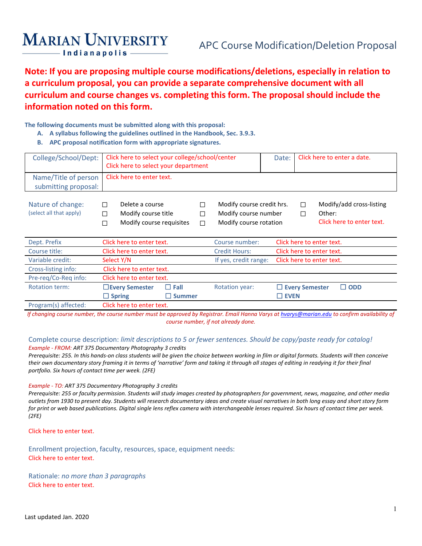# **MARIAN UNIVERSITY**

**Note: If you are proposing multiple course modifications/deletions, especially in relation to a curriculum proposal, you can provide a separate comprehensive document with all curriculum and course changes vs. completing this form. The proposal should include the information noted on this form.**

### **The following documents must be submitted along with this proposal:**

- **A. A syllabus following the guidelines outlined in the Handbook, Sec. 3.9.3.**
- **B. APC proposal notification form with appropriate signatures.**

| College/School/Dept:                         | Click here to select your college/school/center<br>Click here to select your department |             |                                                                             | Click here to enter a date.<br>Date:                                      |
|----------------------------------------------|-----------------------------------------------------------------------------------------|-------------|-----------------------------------------------------------------------------|---------------------------------------------------------------------------|
| Name/Title of person<br>submitting proposal: | Click here to enter text.                                                               |             |                                                                             |                                                                           |
| Nature of change:<br>(select all that apply) | Delete a course<br>$\perp$<br>Modify course title<br>П<br>Modify course requisites<br>П | П<br>П<br>П | Modify course credit hrs.<br>Modify course number<br>Modify course rotation | Modify/add cross-listing<br>П<br>Other:<br>П<br>Click here to enter text. |
| Dept. Prefix                                 | Click here to enter text.                                                               |             | Course number:                                                              | Click here to enter text.                                                 |
| Course title:                                | Click here to enter text.                                                               |             | <b>Credit Hours:</b>                                                        | Click here to enter text.                                                 |
| Variable credit:                             | Select Y/N                                                                              |             | If yes, credit range:                                                       | Click here to enter text.                                                 |
| Cross-listing info:                          | Click here to enter text.                                                               |             |                                                                             |                                                                           |
| Pre-reg/Co-Reg info:                         | Click here to enter text.                                                               |             |                                                                             |                                                                           |
| <b>Rotation term:</b>                        | $\Box$ Fall<br>$\Box$ Every Semester<br>$\Box$ Spring<br>$\square$ Summer               |             | <b>Rotation year:</b>                                                       | $\Box$ Every Semester<br>$\Box$ ODD<br>$\Box$ EVEN                        |

Program(s) affected: Click here to enter text.

*If changing course number, the course number must be approved by Registrar. Email Hanna Varys a[t hvarys@marian.edu](mailto:hvarys@marian.edu) to confirm availability of course number, if not already done.*

### Complete course description: *limit descriptions to 5 or fewer sentences. Should be copy/paste ready for catalog!*

*Example - FROM: ART 375 Documentary Photography 3 credits Prerequisite: 255. In this hands-on class students will be given the choice between working in film or digital formats. Students will then conceive their own documentary story framing it in terms of 'narrative' form and taking it through all stages of editing in readying it for their final portfolio. Six hours of contact time per week. (2FE)*

### *Example - TO: ART 375 Documentary Photography 3 credits*

*Prerequisite: 255 or faculty permission. Students will study images created by photographers for government, news, magazine, and other media outlets from 1930 to present day. Students will research documentary ideas and create visual narratives in both long essay and short story form for print or web based publications. Digital single lens reflex camera with interchangeable lenses required. Six hours of contact time per week. (2FE)*

Click here to enter text.

Enrollment projection, faculty, resources, space, equipment needs: Click here to enter text.

Rationale: *no more than 3 paragraphs* Click here to enter text.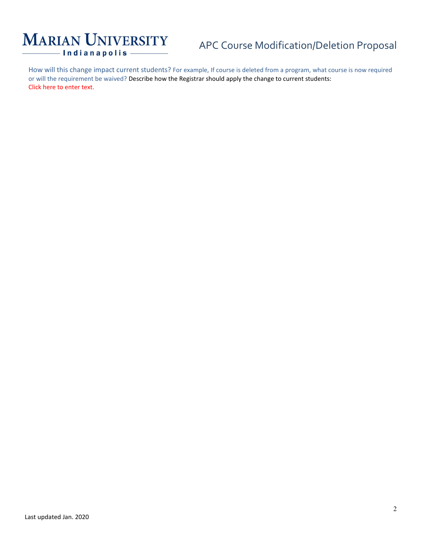# **MARIAN UNIVERSITY** - Indianapolis -

# APC Course Modification/Deletion Proposal

How will this change impact current students? For example, If course is deleted from a program, what course is now required or will the requirement be waived? Describe how the Registrar should apply the change to current students: Click here to enter text.